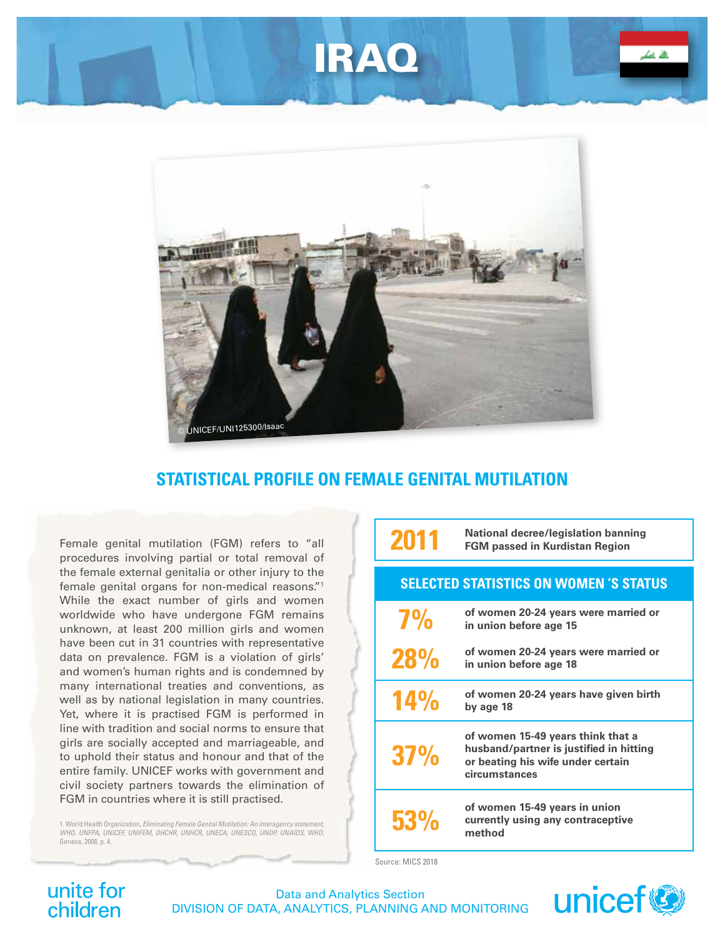# IRAQ



### **STATISTICAL PROFILE ON FEMALE GENITAL MUTILATION**

Female genital mutilation (FGM) refers to "all procedures involving partial or total removal of the female external genitalia or other injury to the female genital organs for non-medical reasons."1 While the exact number of girls and women worldwide who have undergone FGM remains unknown, at least 200 million girls and women have been cut in 31 countries with representative data on prevalence. FGM is a violation of girls' and women's human rights and is condemned by many international treaties and conventions, as well as by national legislation in many countries. Yet, where it is practised FGM is performed in line with tradition and social norms to ensure that girls are socially accepted and marriageable, and to uphold their status and honour and that of the entire family. UNICEF works with government and civil society partners towards the elimination of FGM in countries where it is still practised.

1. World Health Organization, *Eliminating Female Genital Mutilation: An interagency statement, WHO, UNFPA, UNICEF, UNIFEM, OHCHR, UNHCR, UNECA, UNESCO, UNDP, UNAIDS, WHO*, Geneva, 2008, p. 4.

| 2011                                          | <b>National decree/legislation banning</b><br><b>FGM passed in Kurdistan Region</b>                                                |
|-----------------------------------------------|------------------------------------------------------------------------------------------------------------------------------------|
| <b>SELECTED STATISTICS ON WOMEN 'S STATUS</b> |                                                                                                                                    |
| 7%                                            | of women 20-24 years were married or<br>in union before age 15                                                                     |
| <b>28%</b>                                    | of women 20-24 years were married or<br>in union before age 18                                                                     |
| 14%                                           | of women 20-24 years have given birth<br>by age 18                                                                                 |
| 37%                                           | of women 15-49 years think that a<br>husband/partner is justified in hitting<br>or beating his wife under certain<br>circumstances |
| <b>53%</b>                                    | of women 15-49 years in union<br>currently using any contraceptive<br>method                                                       |

Source: MICS 2018

## unite for<br>children

Data and Analytics Section DIVISION OF DATA, ANALYTICS, PLANNING AND MONITORING

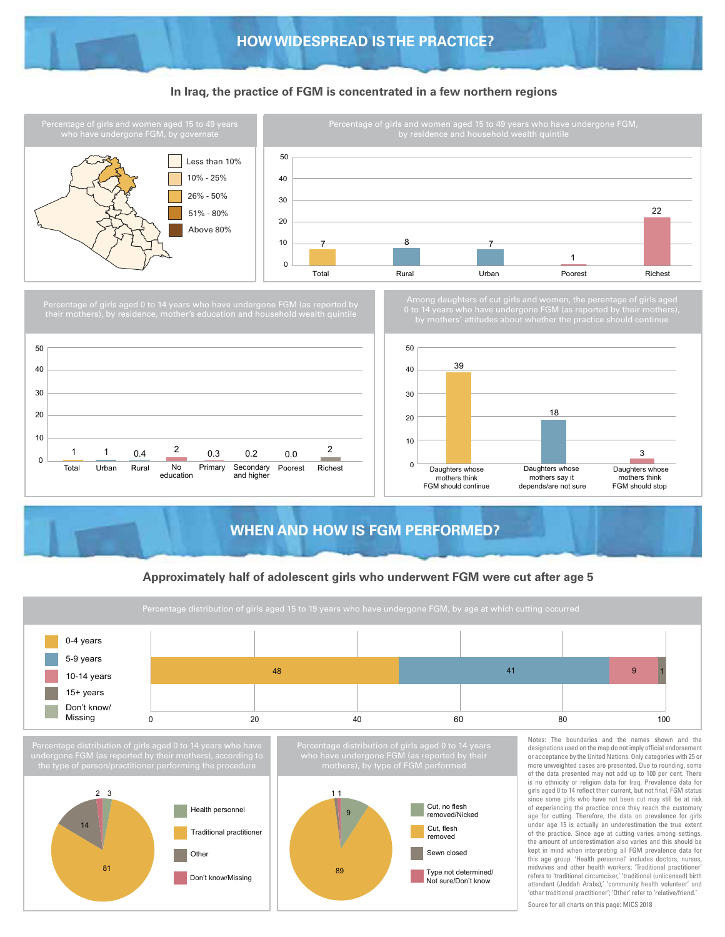#### **In Iraq, the practice of FGM is concentrated in a few northern regions**



#### **Approximately half of adolescent girls who underwent FGM were cut after age 5**

**WHEN AND HOW IS FGM PERFORMED?**

Daughters whose mothers think FGM should continue

0

10 20

> Daughters whose mothers say it depends/are not sure

Daughters whose mothers think FGM should stop

3

1 1 0.4  $\frac{2}{\phantom{000}}$  0.3 0.2 0.0  $\frac{2}{\phantom{000}}$ 

Primary Secondary and higher

Poorest

Richest

Don't know/Missing

**Other** 

81

No education

0.4

Rural

 $\Omega$ 10

Total

Urban





of the practice. Since age at cutting varies among settings, the amount of underestimation also varies and this should be kept in mind when interpreting all FGM prevalence data for this age group. 'Health personnel' includes doctors, nurses, midwives and other health workers; 'Traditional practitioner' refers to 'traditional circumciser,' 'traditional (unlicensed) birth attendant (Jeddah Arabs),' 'community health volunteer' and 'other traditional practitioner'; 'Other' refer to 'relative/friend.' Source for all charts on this page: MICS 2018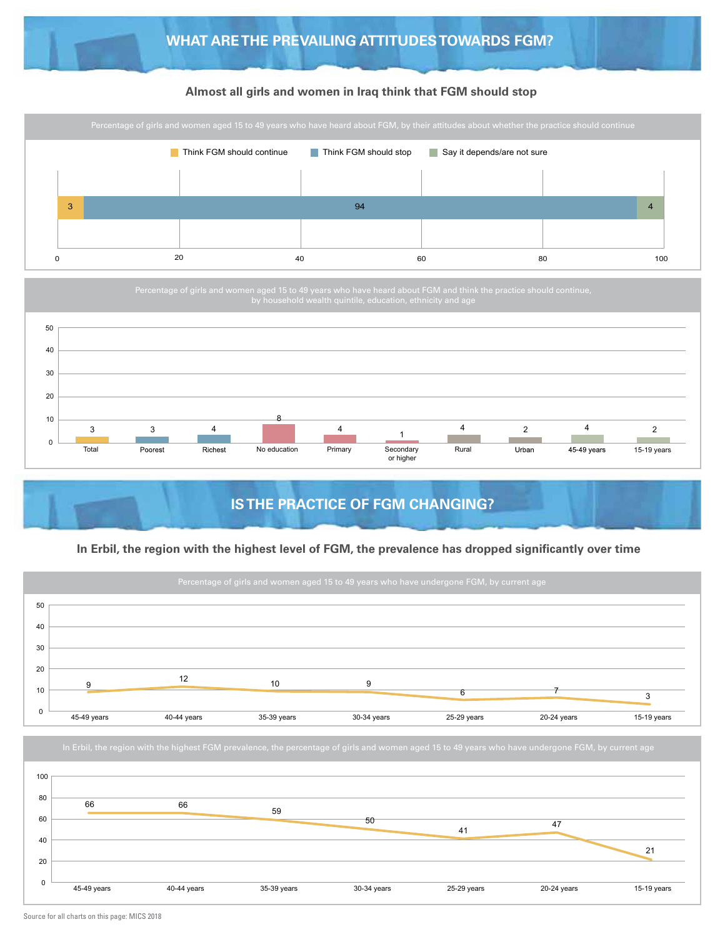#### **Almost all girls and women in Iraq think that FGM should stop**



### **IS THE PRACTICE OF FGM CHANGING?**

#### **In Erbil, the region with the highest level of FGM, the prevalence has dropped significantly over time**